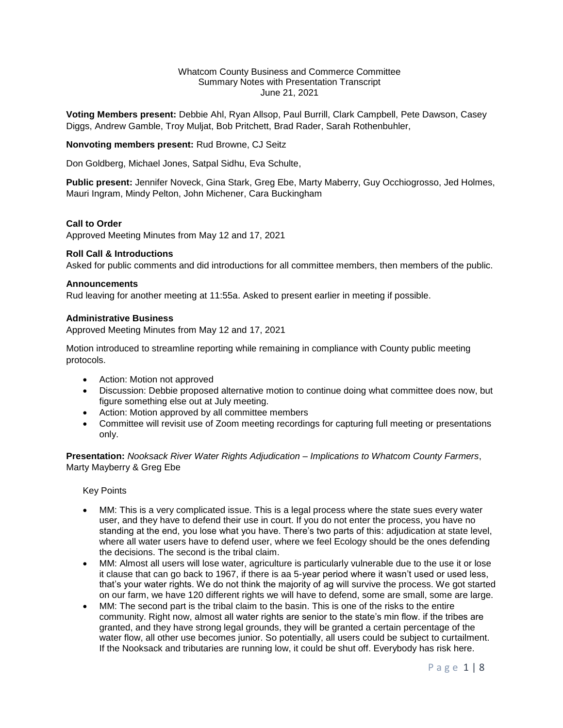#### Whatcom County Business and Commerce Committee Summary Notes with Presentation Transcript June 21, 2021

**Voting Members present:** Debbie Ahl, Ryan Allsop, Paul Burrill, Clark Campbell, Pete Dawson, Casey Diggs, Andrew Gamble, Troy Muljat, Bob Pritchett, Brad Rader, Sarah Rothenbuhler,

**Nonvoting members present:** Rud Browne, CJ Seitz

Don Goldberg, Michael Jones, Satpal Sidhu, Eva Schulte,

**Public present:** Jennifer Noveck, Gina Stark, Greg Ebe, Marty Maberry, Guy Occhiogrosso, Jed Holmes, Mauri Ingram, Mindy Pelton, John Michener, Cara Buckingham

#### **Call to Order**

Approved Meeting Minutes from May 12 and 17, 2021

#### **Roll Call & Introductions**

Asked for public comments and did introductions for all committee members, then members of the public.

#### **Announcements**

Rud leaving for another meeting at 11:55a. Asked to present earlier in meeting if possible.

#### **Administrative Business**

Approved Meeting Minutes from May 12 and 17, 2021

Motion introduced to streamline reporting while remaining in compliance with County public meeting protocols.

- Action: Motion not approved
- Discussion: Debbie proposed alternative motion to continue doing what committee does now, but figure something else out at July meeting.
- Action: Motion approved by all committee members
- Committee will revisit use of Zoom meeting recordings for capturing full meeting or presentations only.

**Presentation:** *Nooksack River Water Rights Adjudication – Implications to Whatcom County Farmers*, Marty Mayberry & Greg Ebe

Key Points

- MM: This is a very complicated issue. This is a legal process where the state sues every water user, and they have to defend their use in court. If you do not enter the process, you have no standing at the end, you lose what you have. There's two parts of this: adjudication at state level, where all water users have to defend user, where we feel Ecology should be the ones defending the decisions. The second is the tribal claim.
- MM: Almost all users will lose water, agriculture is particularly vulnerable due to the use it or lose it clause that can go back to 1967, if there is aa 5-year period where it wasn't used or used less, that's your water rights. We do not think the majority of ag will survive the process. We got started on our farm, we have 120 different rights we will have to defend, some are small, some are large.
- MM: The second part is the tribal claim to the basin. This is one of the risks to the entire community. Right now, almost all water rights are senior to the state's min flow. if the tribes are granted, and they have strong legal grounds, they will be granted a certain percentage of the water flow, all other use becomes junior. So potentially, all users could be subject to curtailment. If the Nooksack and tributaries are running low, it could be shut off. Everybody has risk here.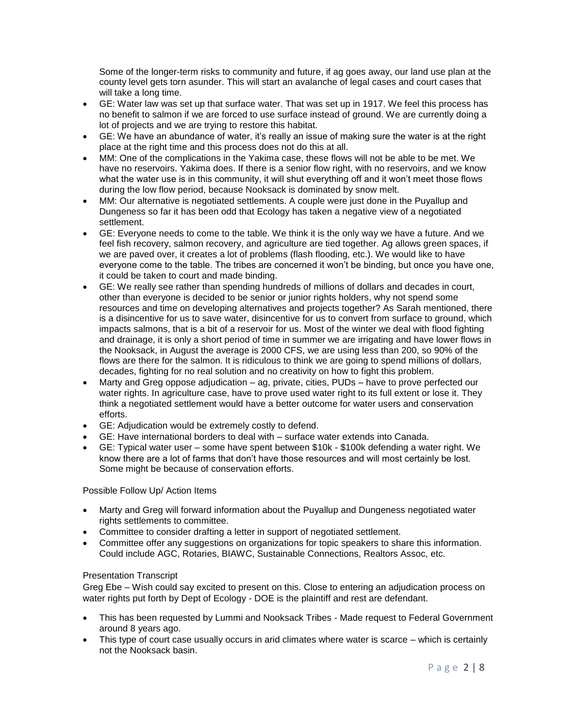Some of the longer-term risks to community and future, if ag goes away, our land use plan at the county level gets torn asunder. This will start an avalanche of legal cases and court cases that will take a long time.

- GE: Water law was set up that surface water. That was set up in 1917. We feel this process has no benefit to salmon if we are forced to use surface instead of ground. We are currently doing a lot of projects and we are trying to restore this habitat.
- GE: We have an abundance of water, it's really an issue of making sure the water is at the right place at the right time and this process does not do this at all.
- MM: One of the complications in the Yakima case, these flows will not be able to be met. We have no reservoirs. Yakima does. If there is a senior flow right, with no reservoirs, and we know what the water use is in this community, it will shut everything off and it won't meet those flows during the low flow period, because Nooksack is dominated by snow melt.
- MM: Our alternative is negotiated settlements. A couple were just done in the Puyallup and Dungeness so far it has been odd that Ecology has taken a negative view of a negotiated settlement.
- GE: Everyone needs to come to the table. We think it is the only way we have a future. And we feel fish recovery, salmon recovery, and agriculture are tied together. Ag allows green spaces, if we are paved over, it creates a lot of problems (flash flooding, etc.). We would like to have everyone come to the table. The tribes are concerned it won't be binding, but once you have one, it could be taken to court and made binding.
- GE: We really see rather than spending hundreds of millions of dollars and decades in court, other than everyone is decided to be senior or junior rights holders, why not spend some resources and time on developing alternatives and projects together? As Sarah mentioned, there is a disincentive for us to save water, disincentive for us to convert from surface to ground, which impacts salmons, that is a bit of a reservoir for us. Most of the winter we deal with flood fighting and drainage, it is only a short period of time in summer we are irrigating and have lower flows in the Nooksack, in August the average is 2000 CFS, we are using less than 200, so 90% of the flows are there for the salmon. It is ridiculous to think we are going to spend millions of dollars, decades, fighting for no real solution and no creativity on how to fight this problem.
- Marty and Greg oppose adjudication ag, private, cities, PUDs have to prove perfected our water rights. In agriculture case, have to prove used water right to its full extent or lose it. They think a negotiated settlement would have a better outcome for water users and conservation efforts.
- GE: Adjudication would be extremely costly to defend.
- GE: Have international borders to deal with surface water extends into Canada.
- GE: Typical water user some have spent between \$10k \$100k defending a water right. We know there are a lot of farms that don't have those resources and will most certainly be lost. Some might be because of conservation efforts.

# Possible Follow Up/ Action Items

- Marty and Greg will forward information about the Puyallup and Dungeness negotiated water rights settlements to committee.
- Committee to consider drafting a letter in support of negotiated settlement.
- Committee offer any suggestions on organizations for topic speakers to share this information. Could include AGC, Rotaries, BIAWC, Sustainable Connections, Realtors Assoc, etc.

# Presentation Transcript

Greg Ebe – Wish could say excited to present on this. Close to entering an adjudication process on water rights put forth by Dept of Ecology - DOE is the plaintiff and rest are defendant.

- This has been requested by Lummi and Nooksack Tribes Made request to Federal Government around 8 years ago.
- This type of court case usually occurs in arid climates where water is scarce which is certainly not the Nooksack basin.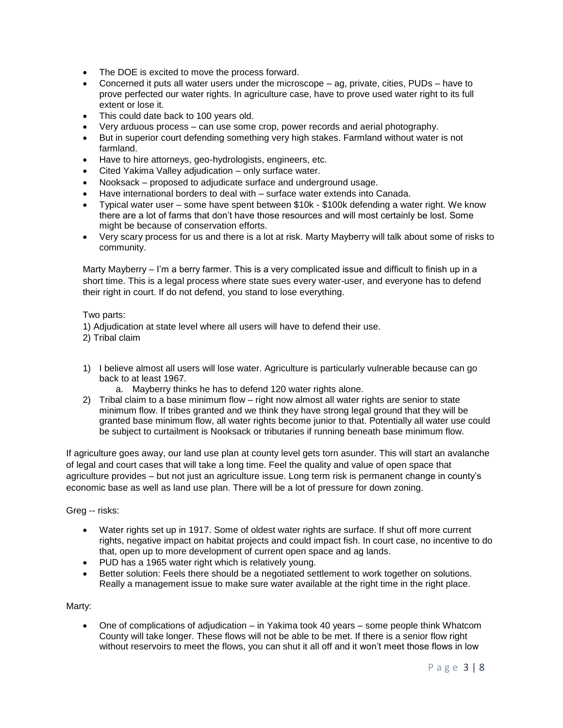- The DOE is excited to move the process forward.
- Concerned it puts all water users under the microscope ag, private, cities, PUDs have to prove perfected our water rights. In agriculture case, have to prove used water right to its full extent or lose it.
- This could date back to 100 years old.
- Very arduous process can use some crop, power records and aerial photography.
- But in superior court defending something very high stakes. Farmland without water is not farmland.
- Have to hire attorneys, geo-hydrologists, engineers, etc.
- Cited Yakima Valley adjudication only surface water.
- Nooksack proposed to adjudicate surface and underground usage.
- Have international borders to deal with surface water extends into Canada.
- Typical water user some have spent between \$10k \$100k defending a water right. We know there are a lot of farms that don't have those resources and will most certainly be lost. Some might be because of conservation efforts.
- Very scary process for us and there is a lot at risk. Marty Mayberry will talk about some of risks to community.

Marty Mayberry – I'm a berry farmer. This is a very complicated issue and difficult to finish up in a short time. This is a legal process where state sues every water-user, and everyone has to defend their right in court. If do not defend, you stand to lose everything.

Two parts:

1) Adjudication at state level where all users will have to defend their use.

2) Tribal claim

- 1) I believe almost all users will lose water. Agriculture is particularly vulnerable because can go back to at least 1967.
	- a. Mayberry thinks he has to defend 120 water rights alone.
- 2) Tribal claim to a base minimum flow right now almost all water rights are senior to state minimum flow. If tribes granted and we think they have strong legal ground that they will be granted base minimum flow, all water rights become junior to that. Potentially all water use could be subject to curtailment is Nooksack or tributaries if running beneath base minimum flow.

If agriculture goes away, our land use plan at county level gets torn asunder. This will start an avalanche of legal and court cases that will take a long time. Feel the quality and value of open space that agriculture provides – but not just an agriculture issue. Long term risk is permanent change in county's economic base as well as land use plan. There will be a lot of pressure for down zoning.

Greg -- risks:

- Water rights set up in 1917. Some of oldest water rights are surface. If shut off more current rights, negative impact on habitat projects and could impact fish. In court case, no incentive to do that, open up to more development of current open space and ag lands.
- PUD has a 1965 water right which is relatively young.
- Better solution: Feels there should be a negotiated settlement to work together on solutions. Really a management issue to make sure water available at the right time in the right place.

Marty:

 One of complications of adjudication – in Yakima took 40 years – some people think Whatcom County will take longer. These flows will not be able to be met. If there is a senior flow right without reservoirs to meet the flows, you can shut it all off and it won't meet those flows in low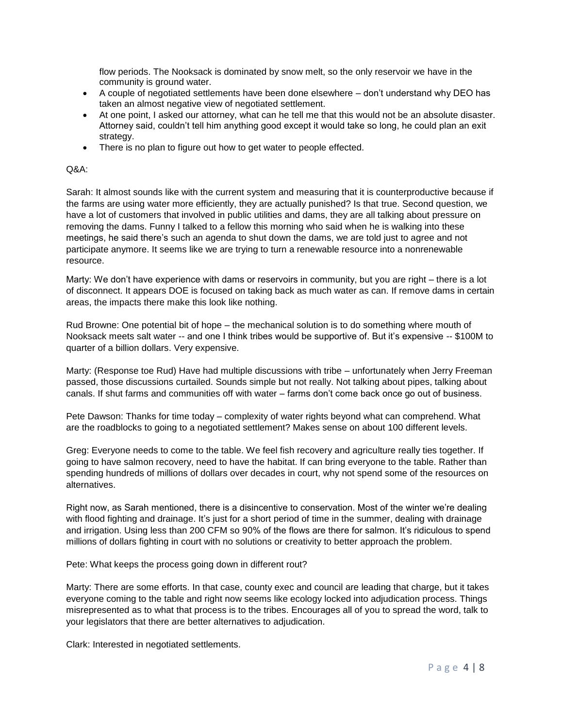flow periods. The Nooksack is dominated by snow melt, so the only reservoir we have in the community is ground water.

- A couple of negotiated settlements have been done elsewhere don't understand why DEO has taken an almost negative view of negotiated settlement.
- At one point, I asked our attorney, what can he tell me that this would not be an absolute disaster. Attorney said, couldn't tell him anything good except it would take so long, he could plan an exit strategy.
- There is no plan to figure out how to get water to people effected.

### Q&A:

Sarah: It almost sounds like with the current system and measuring that it is counterproductive because if the farms are using water more efficiently, they are actually punished? Is that true. Second question, we have a lot of customers that involved in public utilities and dams, they are all talking about pressure on removing the dams. Funny I talked to a fellow this morning who said when he is walking into these meetings, he said there's such an agenda to shut down the dams, we are told just to agree and not participate anymore. It seems like we are trying to turn a renewable resource into a nonrenewable resource.

Marty: We don't have experience with dams or reservoirs in community, but you are right – there is a lot of disconnect. It appears DOE is focused on taking back as much water as can. If remove dams in certain areas, the impacts there make this look like nothing.

Rud Browne: One potential bit of hope – the mechanical solution is to do something where mouth of Nooksack meets salt water -- and one I think tribes would be supportive of. But it's expensive -- \$100M to quarter of a billion dollars. Very expensive.

Marty: (Response toe Rud) Have had multiple discussions with tribe – unfortunately when Jerry Freeman passed, those discussions curtailed. Sounds simple but not really. Not talking about pipes, talking about canals. If shut farms and communities off with water – farms don't come back once go out of business.

Pete Dawson: Thanks for time today – complexity of water rights beyond what can comprehend. What are the roadblocks to going to a negotiated settlement? Makes sense on about 100 different levels.

Greg: Everyone needs to come to the table. We feel fish recovery and agriculture really ties together. If going to have salmon recovery, need to have the habitat. If can bring everyone to the table. Rather than spending hundreds of millions of dollars over decades in court, why not spend some of the resources on alternatives.

Right now, as Sarah mentioned, there is a disincentive to conservation. Most of the winter we're dealing with flood fighting and drainage. It's just for a short period of time in the summer, dealing with drainage and irrigation. Using less than 200 CFM so 90% of the flows are there for salmon. It's ridiculous to spend millions of dollars fighting in court with no solutions or creativity to better approach the problem.

Pete: What keeps the process going down in different rout?

Marty: There are some efforts. In that case, county exec and council are leading that charge, but it takes everyone coming to the table and right now seems like ecology locked into adjudication process. Things misrepresented as to what that process is to the tribes. Encourages all of you to spread the word, talk to your legislators that there are better alternatives to adjudication.

Clark: Interested in negotiated settlements.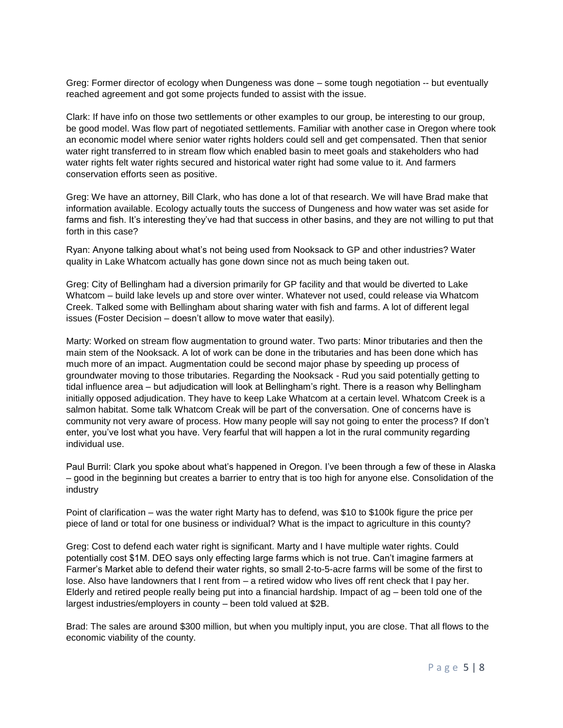Greg: Former director of ecology when Dungeness was done – some tough negotiation -- but eventually reached agreement and got some projects funded to assist with the issue.

Clark: If have info on those two settlements or other examples to our group, be interesting to our group, be good model. Was flow part of negotiated settlements. Familiar with another case in Oregon where took an economic model where senior water rights holders could sell and get compensated. Then that senior water right transferred to in stream flow which enabled basin to meet goals and stakeholders who had water rights felt water rights secured and historical water right had some value to it. And farmers conservation efforts seen as positive.

Greg: We have an attorney, Bill Clark, who has done a lot of that research. We will have Brad make that information available. Ecology actually touts the success of Dungeness and how water was set aside for farms and fish. It's interesting they've had that success in other basins, and they are not willing to put that forth in this case?

Ryan: Anyone talking about what's not being used from Nooksack to GP and other industries? Water quality in Lake Whatcom actually has gone down since not as much being taken out.

Greg: City of Bellingham had a diversion primarily for GP facility and that would be diverted to Lake Whatcom – build lake levels up and store over winter. Whatever not used, could release via Whatcom Creek. Talked some with Bellingham about sharing water with fish and farms. A lot of different legal issues (Foster Decision – doesn't allow to move water that easily).

Marty: Worked on stream flow augmentation to ground water. Two parts: Minor tributaries and then the main stem of the Nooksack. A lot of work can be done in the tributaries and has been done which has much more of an impact. Augmentation could be second major phase by speeding up process of groundwater moving to those tributaries. Regarding the Nooksack - Rud you said potentially getting to tidal influence area – but adjudication will look at Bellingham's right. There is a reason why Bellingham initially opposed adjudication. They have to keep Lake Whatcom at a certain level. Whatcom Creek is a salmon habitat. Some talk Whatcom Creak will be part of the conversation. One of concerns have is community not very aware of process. How many people will say not going to enter the process? If don't enter, you've lost what you have. Very fearful that will happen a lot in the rural community regarding individual use.

Paul Burril: Clark you spoke about what's happened in Oregon. I've been through a few of these in Alaska – good in the beginning but creates a barrier to entry that is too high for anyone else. Consolidation of the industry

Point of clarification – was the water right Marty has to defend, was \$10 to \$100k figure the price per piece of land or total for one business or individual? What is the impact to agriculture in this county?

Greg: Cost to defend each water right is significant. Marty and I have multiple water rights. Could potentially cost \$1M. DEO says only effecting large farms which is not true. Can't imagine farmers at Farmer's Market able to defend their water rights, so small 2-to-5-acre farms will be some of the first to lose. Also have landowners that I rent from – a retired widow who lives off rent check that I pay her. Elderly and retired people really being put into a financial hardship. Impact of ag – been told one of the largest industries/employers in county – been told valued at \$2B.

Brad: The sales are around \$300 million, but when you multiply input, you are close. That all flows to the economic viability of the county.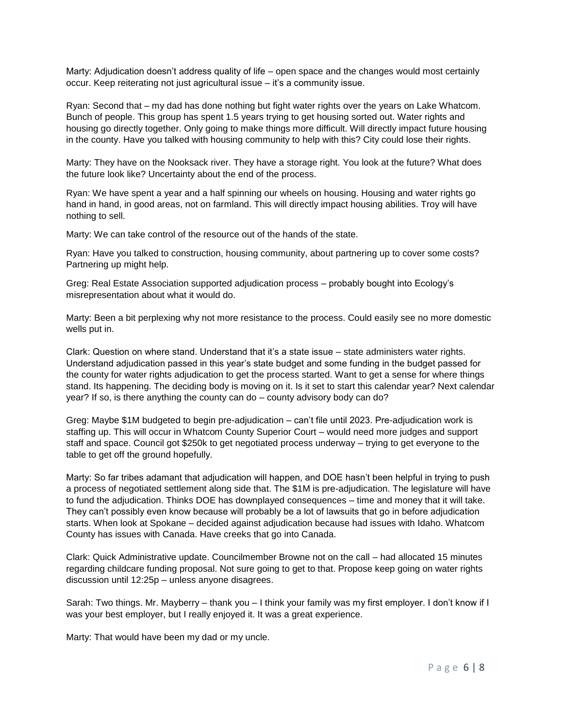Marty: Adjudication doesn't address quality of life – open space and the changes would most certainly occur. Keep reiterating not just agricultural issue – it's a community issue.

Ryan: Second that – my dad has done nothing but fight water rights over the years on Lake Whatcom. Bunch of people. This group has spent 1.5 years trying to get housing sorted out. Water rights and housing go directly together. Only going to make things more difficult. Will directly impact future housing in the county. Have you talked with housing community to help with this? City could lose their rights.

Marty: They have on the Nooksack river. They have a storage right. You look at the future? What does the future look like? Uncertainty about the end of the process.

Ryan: We have spent a year and a half spinning our wheels on housing. Housing and water rights go hand in hand, in good areas, not on farmland. This will directly impact housing abilities. Troy will have nothing to sell.

Marty: We can take control of the resource out of the hands of the state.

Ryan: Have you talked to construction, housing community, about partnering up to cover some costs? Partnering up might help.

Greg: Real Estate Association supported adjudication process – probably bought into Ecology's misrepresentation about what it would do.

Marty: Been a bit perplexing why not more resistance to the process. Could easily see no more domestic wells put in.

Clark: Question on where stand. Understand that it's a state issue – state administers water rights. Understand adjudication passed in this year's state budget and some funding in the budget passed for the county for water rights adjudication to get the process started. Want to get a sense for where things stand. Its happening. The deciding body is moving on it. Is it set to start this calendar year? Next calendar year? If so, is there anything the county can do – county advisory body can do?

Greg: Maybe \$1M budgeted to begin pre-adjudication – can't file until 2023. Pre-adjudication work is staffing up. This will occur in Whatcom County Superior Court – would need more judges and support staff and space. Council got \$250k to get negotiated process underway – trying to get everyone to the table to get off the ground hopefully.

Marty: So far tribes adamant that adjudication will happen, and DOE hasn't been helpful in trying to push a process of negotiated settlement along side that. The \$1M is pre-adjudication. The legislature will have to fund the adjudication. Thinks DOE has downplayed consequences – time and money that it will take. They can't possibly even know because will probably be a lot of lawsuits that go in before adjudication starts. When look at Spokane – decided against adjudication because had issues with Idaho. Whatcom County has issues with Canada. Have creeks that go into Canada.

Clark: Quick Administrative update. Councilmember Browne not on the call – had allocated 15 minutes regarding childcare funding proposal. Not sure going to get to that. Propose keep going on water rights discussion until 12:25p – unless anyone disagrees.

Sarah: Two things. Mr. Mayberry – thank you – I think your family was my first employer. I don't know if I was your best employer, but I really enjoyed it. It was a great experience.

Marty: That would have been my dad or my uncle.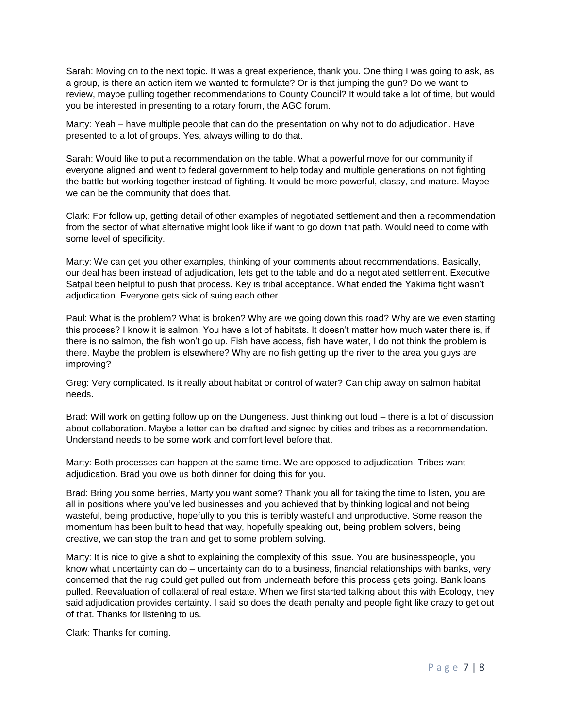Sarah: Moving on to the next topic. It was a great experience, thank you. One thing I was going to ask, as a group, is there an action item we wanted to formulate? Or is that jumping the gun? Do we want to review, maybe pulling together recommendations to County Council? It would take a lot of time, but would you be interested in presenting to a rotary forum, the AGC forum.

Marty: Yeah – have multiple people that can do the presentation on why not to do adjudication. Have presented to a lot of groups. Yes, always willing to do that.

Sarah: Would like to put a recommendation on the table. What a powerful move for our community if everyone aligned and went to federal government to help today and multiple generations on not fighting the battle but working together instead of fighting. It would be more powerful, classy, and mature. Maybe we can be the community that does that.

Clark: For follow up, getting detail of other examples of negotiated settlement and then a recommendation from the sector of what alternative might look like if want to go down that path. Would need to come with some level of specificity.

Marty: We can get you other examples, thinking of your comments about recommendations. Basically, our deal has been instead of adjudication, lets get to the table and do a negotiated settlement. Executive Satpal been helpful to push that process. Key is tribal acceptance. What ended the Yakima fight wasn't adjudication. Everyone gets sick of suing each other.

Paul: What is the problem? What is broken? Why are we going down this road? Why are we even starting this process? I know it is salmon. You have a lot of habitats. It doesn't matter how much water there is, if there is no salmon, the fish won't go up. Fish have access, fish have water, I do not think the problem is there. Maybe the problem is elsewhere? Why are no fish getting up the river to the area you guys are improving?

Greg: Very complicated. Is it really about habitat or control of water? Can chip away on salmon habitat needs.

Brad: Will work on getting follow up on the Dungeness. Just thinking out loud – there is a lot of discussion about collaboration. Maybe a letter can be drafted and signed by cities and tribes as a recommendation. Understand needs to be some work and comfort level before that.

Marty: Both processes can happen at the same time. We are opposed to adjudication. Tribes want adjudication. Brad you owe us both dinner for doing this for you.

Brad: Bring you some berries, Marty you want some? Thank you all for taking the time to listen, you are all in positions where you've led businesses and you achieved that by thinking logical and not being wasteful, being productive, hopefully to you this is terribly wasteful and unproductive. Some reason the momentum has been built to head that way, hopefully speaking out, being problem solvers, being creative, we can stop the train and get to some problem solving.

Marty: It is nice to give a shot to explaining the complexity of this issue. You are businesspeople, you know what uncertainty can do – uncertainty can do to a business, financial relationships with banks, very concerned that the rug could get pulled out from underneath before this process gets going. Bank loans pulled. Reevaluation of collateral of real estate. When we first started talking about this with Ecology, they said adjudication provides certainty. I said so does the death penalty and people fight like crazy to get out of that. Thanks for listening to us.

Clark: Thanks for coming.